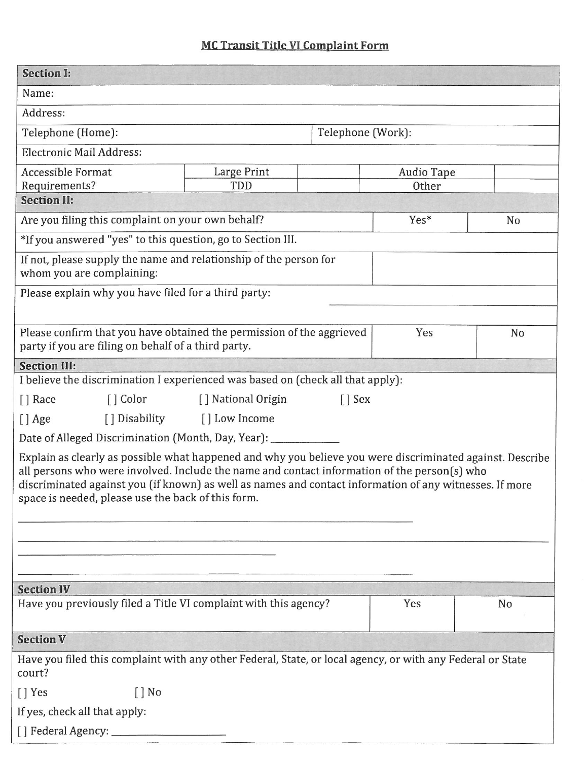## **MC Transit Title VI Complaint Form**

| <b>Section I:</b>                                                                                                                                                                                                                                                                                                                                                          |                    |                   |                   |                |  |
|----------------------------------------------------------------------------------------------------------------------------------------------------------------------------------------------------------------------------------------------------------------------------------------------------------------------------------------------------------------------------|--------------------|-------------------|-------------------|----------------|--|
| Name:                                                                                                                                                                                                                                                                                                                                                                      |                    |                   |                   |                |  |
| Address:                                                                                                                                                                                                                                                                                                                                                                   |                    |                   |                   |                |  |
| Telephone (Home):                                                                                                                                                                                                                                                                                                                                                          |                    | Telephone (Work): |                   |                |  |
| <b>Electronic Mail Address:</b>                                                                                                                                                                                                                                                                                                                                            |                    |                   |                   |                |  |
| <b>Accessible Format</b>                                                                                                                                                                                                                                                                                                                                                   | Large Print        |                   | <b>Audio Tape</b> |                |  |
| Requirements?<br><b>Section II:</b>                                                                                                                                                                                                                                                                                                                                        | TDD                |                   | Other             |                |  |
|                                                                                                                                                                                                                                                                                                                                                                            |                    |                   | Yes*              |                |  |
| Are you filing this complaint on your own behalf?<br>*If you answered "yes" to this question, go to Section III.                                                                                                                                                                                                                                                           |                    |                   |                   | N <sub>o</sub> |  |
|                                                                                                                                                                                                                                                                                                                                                                            |                    |                   |                   |                |  |
| If not, please supply the name and relationship of the person for<br>whom you are complaining:                                                                                                                                                                                                                                                                             |                    |                   |                   |                |  |
| Please explain why you have filed for a third party:                                                                                                                                                                                                                                                                                                                       |                    |                   |                   |                |  |
|                                                                                                                                                                                                                                                                                                                                                                            |                    |                   |                   |                |  |
| Please confirm that you have obtained the permission of the aggrieved<br>party if you are filing on behalf of a third party.                                                                                                                                                                                                                                               |                    |                   | Yes               | No             |  |
| <b>Section III:</b>                                                                                                                                                                                                                                                                                                                                                        |                    |                   |                   |                |  |
| I believe the discrimination I experienced was based on (check all that apply):                                                                                                                                                                                                                                                                                            |                    |                   |                   |                |  |
| $\lceil$ Color<br>$\lceil$ Race                                                                                                                                                                                                                                                                                                                                            | [] National Origin | $\lceil$ Sex      |                   |                |  |
| [] Disability<br>$[]$ Age                                                                                                                                                                                                                                                                                                                                                  | [ ] Low Income     |                   |                   |                |  |
| Date of Alleged Discrimination (Month, Day, Year): _                                                                                                                                                                                                                                                                                                                       |                    |                   |                   |                |  |
| Explain as clearly as possible what happened and why you believe you were discriminated against. Describe<br>all persons who were involved. Include the name and contact information of the person(s) who<br>discriminated against you (if known) as well as names and contact information of any witnesses. If more<br>space is needed, please use the back of this form. |                    |                   |                   |                |  |
| <b>Section IV</b>                                                                                                                                                                                                                                                                                                                                                          |                    |                   |                   |                |  |
| Have you previously filed a Title VI complaint with this agency?                                                                                                                                                                                                                                                                                                           |                    |                   | Yes               | No             |  |
| <b>Section V</b>                                                                                                                                                                                                                                                                                                                                                           |                    |                   |                   |                |  |
| Have you filed this complaint with any other Federal, State, or local agency, or with any Federal or State<br>court?                                                                                                                                                                                                                                                       |                    |                   |                   |                |  |
| $\lceil$ Yes<br>$\lceil$   No                                                                                                                                                                                                                                                                                                                                              |                    |                   |                   |                |  |
| If yes, check all that apply:                                                                                                                                                                                                                                                                                                                                              |                    |                   |                   |                |  |
| [] Federal Agency: __                                                                                                                                                                                                                                                                                                                                                      |                    |                   |                   |                |  |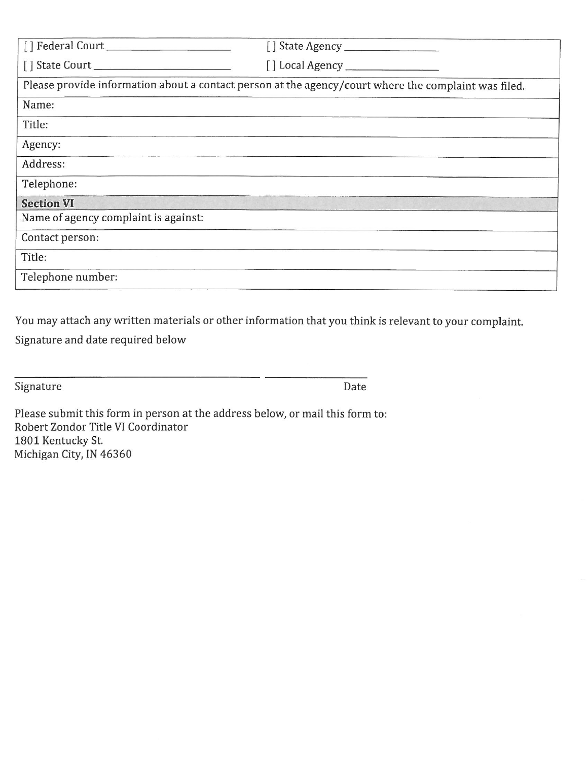| Please provide information about a contact person at the agency/court where the complaint was filed. |  |  |  |
|------------------------------------------------------------------------------------------------------|--|--|--|
| Name:                                                                                                |  |  |  |
| Title:                                                                                               |  |  |  |
| Agency:                                                                                              |  |  |  |
| Address:                                                                                             |  |  |  |
| Telephone:                                                                                           |  |  |  |
| <b>Section VI</b>                                                                                    |  |  |  |
| Name of agency complaint is against:                                                                 |  |  |  |
| Contact person:                                                                                      |  |  |  |
| Title:                                                                                               |  |  |  |
| Telephone number:                                                                                    |  |  |  |

You may attach any written materials or other information that you think is relevant to your complaint.

Signature and date required below

Signature

Date

Please submit this form in person at the address below, or mail this form to: Robert Zondor Title VI Coordinator 1801 Kentucky St. Michigan City, IN 46360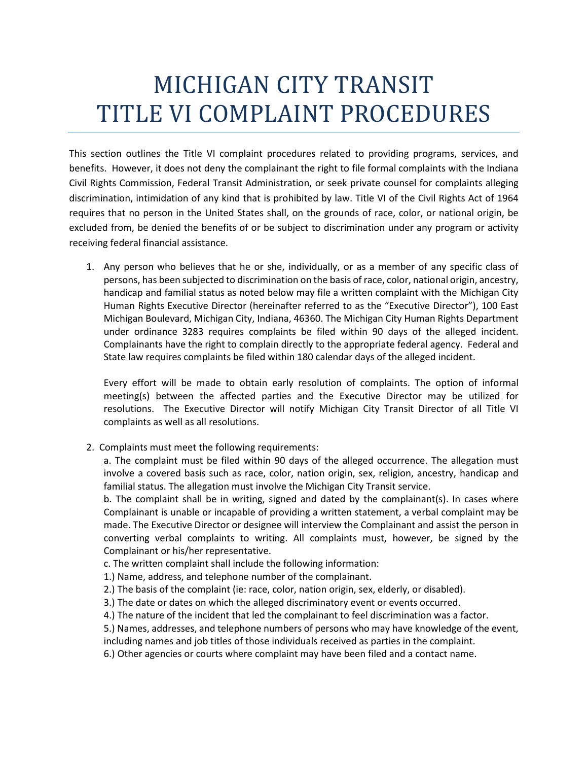## MICHIGAN CITY TRANSIT TITLE VI COMPLAINT PROCEDURES

This section outlines the Title VI complaint procedures related to providing programs, services, and benefits. However, it does not deny the complainant the right to file formal complaints with the Indiana Civil Rights Commission, Federal Transit Administration, or seek private counsel for complaints alleging discrimination, intimidation of any kind that is prohibited by law. Title VI of the Civil Rights Act of 1964 requires that no person in the United States shall, on the grounds of race, color, or national origin, be excluded from, be denied the benefits of or be subject to discrimination under any program or activity receiving federal financial assistance.

1. Any person who believes that he or she, individually, or as a member of any specific class of persons, has been subjected to discrimination on the basis of race, color, national origin, ancestry, handicap and familial status as noted below may file a written complaint with the Michigan City Human Rights Executive Director (hereinafter referred to as the "Executive Director"), 100 East Michigan Boulevard, Michigan City, Indiana, 46360. The Michigan City Human Rights Department under ordinance 3283 requires complaints be filed within 90 days of the alleged incident. Complainants have the right to complain directly to the appropriate federal agency. Federal and State law requires complaints be filed within 180 calendar days of the alleged incident.

Every effort will be made to obtain early resolution of complaints. The option of informal meeting(s) between the affected parties and the Executive Director may be utilized for resolutions. The Executive Director will notify Michigan City Transit Director of all Title VI complaints as well as all resolutions.

2. Complaints must meet the following requirements:

a. The complaint must be filed within 90 days of the alleged occurrence. The allegation must involve a covered basis such as race, color, nation origin, sex, religion, ancestry, handicap and familial status. The allegation must involve the Michigan City Transit service.

b. The complaint shall be in writing, signed and dated by the complainant(s). In cases where Complainant is unable or incapable of providing a written statement, a verbal complaint may be made. The Executive Director or designee will interview the Complainant and assist the person in converting verbal complaints to writing. All complaints must, however, be signed by the Complainant or his/her representative.

c. The written complaint shall include the following information:

1.) Name, address, and telephone number of the complainant.

2.) The basis of the complaint (ie: race, color, nation origin, sex, elderly, or disabled).

3.) The date or dates on which the alleged discriminatory event or events occurred.

4.) The nature of the incident that led the complainant to feel discrimination was a factor.

5.) Names, addresses, and telephone numbers of persons who may have knowledge of the event,

including names and job titles of those individuals received as parties in the complaint.

6.) Other agencies or courts where complaint may have been filed and a contact name.